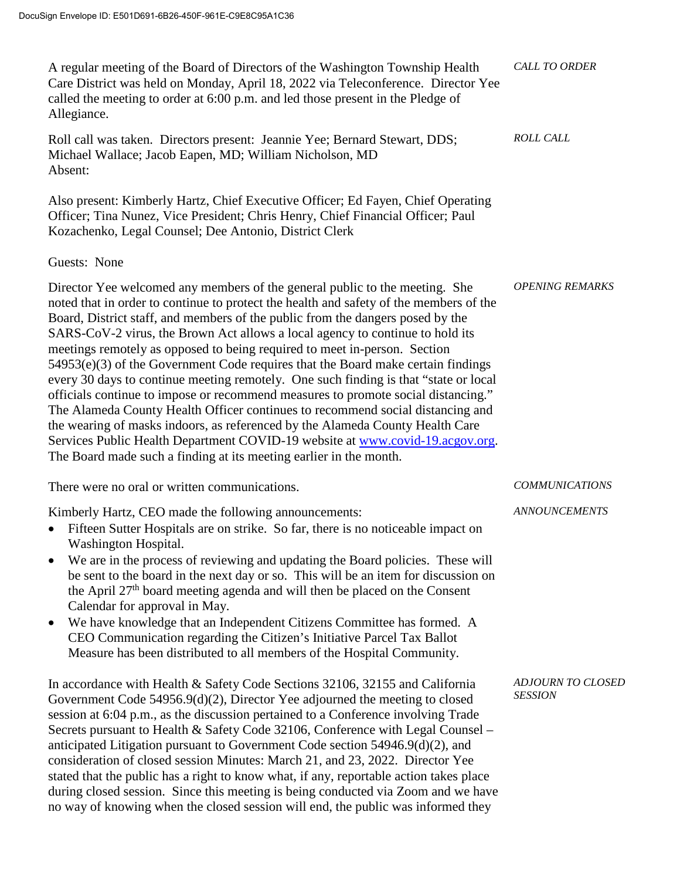| A regular meeting of the Board of Directors of the Washington Township Health<br>Care District was held on Monday, April 18, 2022 via Teleconference. Director Yee<br>called the meeting to order at 6:00 p.m. and led those present in the Pledge of<br>Allegiance.                                                                                                                                                                                                                                                                                                                                                                                                                                                                                                                                                                                                                                                                                                                                               | <b>CALL TO ORDER</b>                       |
|--------------------------------------------------------------------------------------------------------------------------------------------------------------------------------------------------------------------------------------------------------------------------------------------------------------------------------------------------------------------------------------------------------------------------------------------------------------------------------------------------------------------------------------------------------------------------------------------------------------------------------------------------------------------------------------------------------------------------------------------------------------------------------------------------------------------------------------------------------------------------------------------------------------------------------------------------------------------------------------------------------------------|--------------------------------------------|
| Roll call was taken. Directors present: Jeannie Yee; Bernard Stewart, DDS;<br>Michael Wallace; Jacob Eapen, MD; William Nicholson, MD<br>Absent:                                                                                                                                                                                                                                                                                                                                                                                                                                                                                                                                                                                                                                                                                                                                                                                                                                                                   | <b>ROLL CALL</b>                           |
| Also present: Kimberly Hartz, Chief Executive Officer; Ed Fayen, Chief Operating<br>Officer; Tina Nunez, Vice President; Chris Henry, Chief Financial Officer; Paul<br>Kozachenko, Legal Counsel; Dee Antonio, District Clerk                                                                                                                                                                                                                                                                                                                                                                                                                                                                                                                                                                                                                                                                                                                                                                                      |                                            |
| Guests: None                                                                                                                                                                                                                                                                                                                                                                                                                                                                                                                                                                                                                                                                                                                                                                                                                                                                                                                                                                                                       |                                            |
| Director Yee welcomed any members of the general public to the meeting. She<br>noted that in order to continue to protect the health and safety of the members of the<br>Board, District staff, and members of the public from the dangers posed by the<br>SARS-CoV-2 virus, the Brown Act allows a local agency to continue to hold its<br>meetings remotely as opposed to being required to meet in-person. Section<br>$54953(e)(3)$ of the Government Code requires that the Board make certain findings<br>every 30 days to continue meeting remotely. One such finding is that "state or local<br>officials continue to impose or recommend measures to promote social distancing."<br>The Alameda County Health Officer continues to recommend social distancing and<br>the wearing of masks indoors, as referenced by the Alameda County Health Care<br>Services Public Health Department COVID-19 website at www.covid-19.acgov.org.<br>The Board made such a finding at its meeting earlier in the month. | <b>OPENING REMARKS</b>                     |
| There were no oral or written communications.                                                                                                                                                                                                                                                                                                                                                                                                                                                                                                                                                                                                                                                                                                                                                                                                                                                                                                                                                                      | <b>COMMUNICATIONS</b>                      |
| Kimberly Hartz, CEO made the following announcements:<br>Fifteen Sutter Hospitals are on strike. So far, there is no noticeable impact on<br>Washington Hospital.<br>We are in the process of reviewing and updating the Board policies. These will<br>be sent to the board in the next day or so. This will be an item for discussion on<br>the April 27 <sup>th</sup> board meeting agenda and will then be placed on the Consent<br>Calendar for approval in May.<br>We have knowledge that an Independent Citizens Committee has formed. A<br>$\bullet$<br>CEO Communication regarding the Citizen's Initiative Parcel Tax Ballot<br>Measure has been distributed to all members of the Hospital Community.                                                                                                                                                                                                                                                                                                    | <b>ANNOUNCEMENTS</b>                       |
| In accordance with Health & Safety Code Sections 32106, 32155 and California<br>Government Code 54956.9(d)(2), Director Yee adjourned the meeting to closed<br>session at 6:04 p.m., as the discussion pertained to a Conference involving Trade<br>Secrets pursuant to Health & Safety Code 32106, Conference with Legal Counsel -<br>anticipated Litigation pursuant to Government Code section 54946.9(d)(2), and<br>consideration of closed session Minutes: March 21, and 23, 2022. Director Yee<br>stated that the public has a right to know what, if any, reportable action takes place<br>during closed session. Since this meeting is being conducted via Zoom and we have<br>no way of knowing when the closed session will end, the public was informed they                                                                                                                                                                                                                                           | <b>ADJOURN TO CLOSED</b><br><b>SESSION</b> |